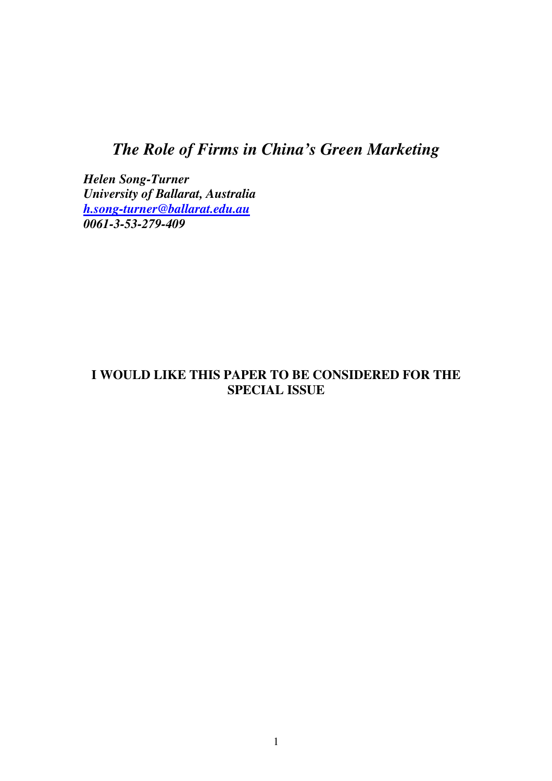# *The Role of Firms in China's Green Marketing*

*Helen Song-Turner University of Ballarat, Australia h.song-turner@ballarat.edu.au 0061-3-53-279-409* 

## **I WOULD LIKE THIS PAPER TO BE CONSIDERED FOR THE SPECIAL ISSUE**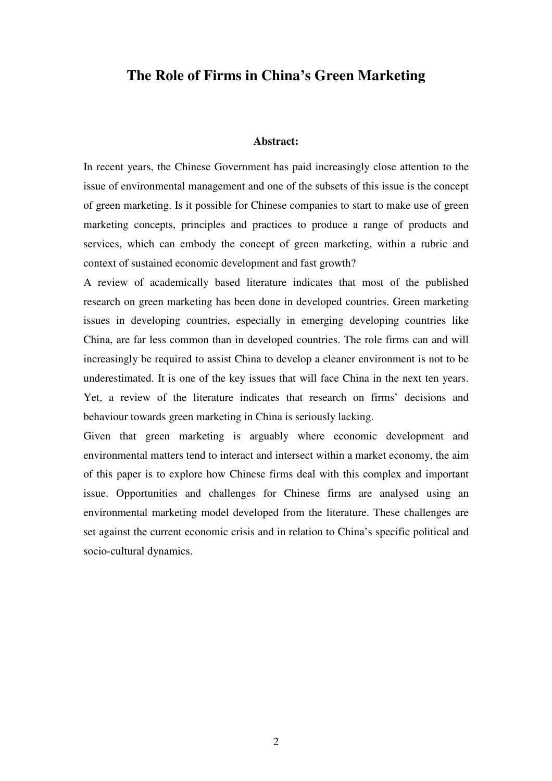## **The Role of Firms in China's Green Marketing**

#### **Abstract:**

In recent years, the Chinese Government has paid increasingly close attention to the issue of environmental management and one of the subsets of this issue is the concept of green marketing. Is it possible for Chinese companies to start to make use of green marketing concepts, principles and practices to produce a range of products and services, which can embody the concept of green marketing, within a rubric and context of sustained economic development and fast growth?

A review of academically based literature indicates that most of the published research on green marketing has been done in developed countries. Green marketing issues in developing countries, especially in emerging developing countries like China, are far less common than in developed countries. The role firms can and will increasingly be required to assist China to develop a cleaner environment is not to be underestimated. It is one of the key issues that will face China in the next ten years. Yet, a review of the literature indicates that research on firms' decisions and behaviour towards green marketing in China is seriously lacking.

Given that green marketing is arguably where economic development and environmental matters tend to interact and intersect within a market economy, the aim of this paper is to explore how Chinese firms deal with this complex and important issue. Opportunities and challenges for Chinese firms are analysed using an environmental marketing model developed from the literature. These challenges are set against the current economic crisis and in relation to China's specific political and socio-cultural dynamics.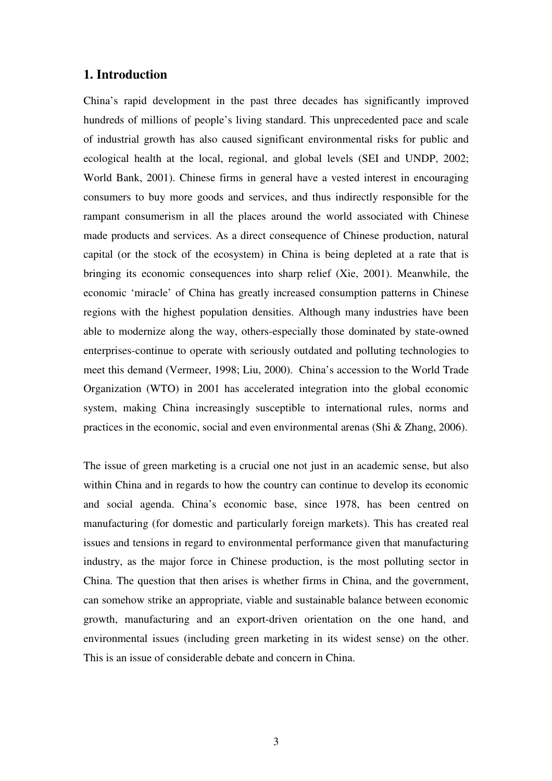## **1. Introduction**

China's rapid development in the past three decades has significantly improved hundreds of millions of people's living standard. This unprecedented pace and scale of industrial growth has also caused significant environmental risks for public and ecological health at the local, regional, and global levels (SEI and UNDP, 2002; World Bank, 2001). Chinese firms in general have a vested interest in encouraging consumers to buy more goods and services, and thus indirectly responsible for the rampant consumerism in all the places around the world associated with Chinese made products and services. As a direct consequence of Chinese production, natural capital (or the stock of the ecosystem) in China is being depleted at a rate that is bringing its economic consequences into sharp relief (Xie, 2001). Meanwhile, the economic 'miracle' of China has greatly increased consumption patterns in Chinese regions with the highest population densities. Although many industries have been able to modernize along the way, others-especially those dominated by state-owned enterprises-continue to operate with seriously outdated and polluting technologies to meet this demand (Vermeer, 1998; Liu, 2000). China's accession to the World Trade Organization (WTO) in 2001 has accelerated integration into the global economic system, making China increasingly susceptible to international rules, norms and practices in the economic, social and even environmental arenas (Shi & Zhang, 2006).

The issue of green marketing is a crucial one not just in an academic sense, but also within China and in regards to how the country can continue to develop its economic and social agenda. China's economic base, since 1978, has been centred on manufacturing (for domestic and particularly foreign markets). This has created real issues and tensions in regard to environmental performance given that manufacturing industry, as the major force in Chinese production, is the most polluting sector in China. The question that then arises is whether firms in China, and the government, can somehow strike an appropriate, viable and sustainable balance between economic growth, manufacturing and an export-driven orientation on the one hand, and environmental issues (including green marketing in its widest sense) on the other. This is an issue of considerable debate and concern in China.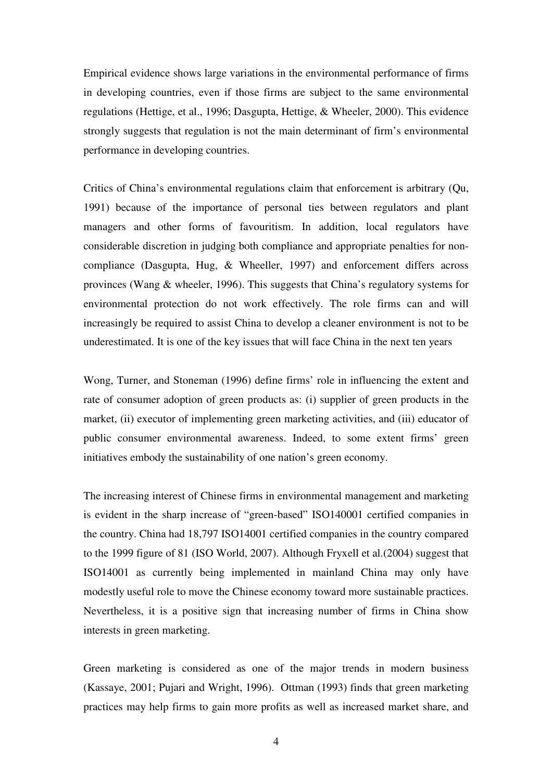Empirical evidence shows large variations in the environmental performance of firms in developing countries, even if those firms are subject to the same environmental regulations (Hettige, et al., 1996; Dasgupta, Hettige, & Wheeler, 2000). This evidence strongly suggests that regulation is not the main determinant of firm's environmental performance in developing countries.

Critics of China's environmental regulations claim that enforcement is arbitrary (Qu, 1991) because of the importance of personal ties between regulators and plant managers and other forms of favouritism. In addition, local regulators have considerable discretion in judging both compliance and appropriate penalties for noncompliance (Dasgupta, Hug, & Wheeller, 1997) and enforcement differs across provinces (Wang & wheeler, 1996). This suggests that China's regulatory systems for environmental protection do not work effectively. The role firms can and will increasingly be required to assist China to develop a cleaner environment is not to be underestimated. It is one of the key issues that will face China in the next ten years

Wong, Turner, and Stoneman (1996) define firms' role in influencing the extent and rate of consumer adoption of green products as: (i) supplier of green products in the market, (ii) executor of implementing green marketing activities, and (iii) educator of public consumer environmental awareness. Indeed, to some extent firms' green initiatives embody the sustainability of one nation's green economy.

The increasing interest of Chinese firms in environmental management and marketing is evident in the sharp increase of "green-based" ISO140001 certified companies in the country. China had 18,797 ISO14001 certified companies in the country compared to the 1999 figure of 81 (ISO World, 2007). Although Fryxell et al.(2004) suggest that ISO14001 as currently being implemented in mainland China may only have modestly useful role to move the Chinese economy toward more sustainable practices. Nevertheless, it is a positive sign that increasing number of firms in China show interests in green marketing.

Green marketing is considered as one of the major trends in modern business (Kassaye, 2001; Pujari and Wright, 1996). Ottman (1993) finds that green marketing practices may help firms to gain more profits as well as increased market share, and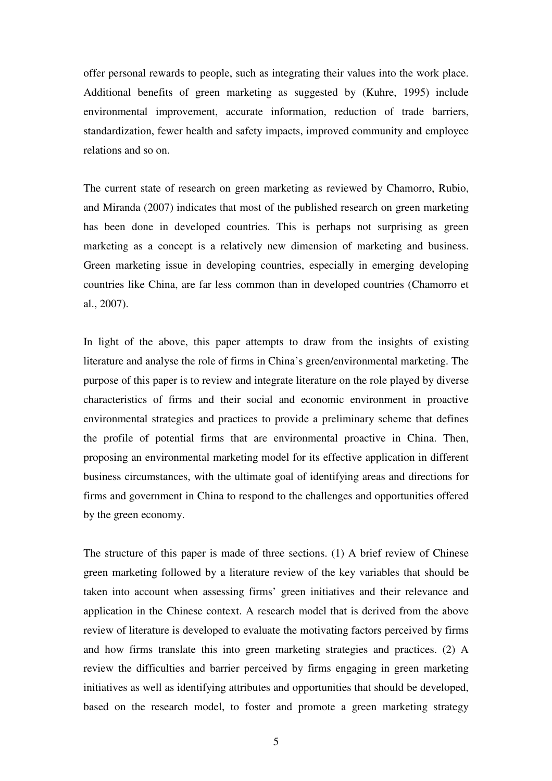offer personal rewards to people, such as integrating their values into the work place. Additional benefits of green marketing as suggested by (Kuhre, 1995) include environmental improvement, accurate information, reduction of trade barriers, standardization, fewer health and safety impacts, improved community and employee relations and so on.

The current state of research on green marketing as reviewed by Chamorro, Rubio, and Miranda (2007) indicates that most of the published research on green marketing has been done in developed countries. This is perhaps not surprising as green marketing as a concept is a relatively new dimension of marketing and business. Green marketing issue in developing countries, especially in emerging developing countries like China, are far less common than in developed countries (Chamorro et al., 2007).

In light of the above, this paper attempts to draw from the insights of existing literature and analyse the role of firms in China's green/environmental marketing. The purpose of this paper is to review and integrate literature on the role played by diverse characteristics of firms and their social and economic environment in proactive environmental strategies and practices to provide a preliminary scheme that defines the profile of potential firms that are environmental proactive in China. Then, proposing an environmental marketing model for its effective application in different business circumstances, with the ultimate goal of identifying areas and directions for firms and government in China to respond to the challenges and opportunities offered by the green economy.

The structure of this paper is made of three sections. (1) A brief review of Chinese green marketing followed by a literature review of the key variables that should be taken into account when assessing firms' green initiatives and their relevance and application in the Chinese context. A research model that is derived from the above review of literature is developed to evaluate the motivating factors perceived by firms and how firms translate this into green marketing strategies and practices. (2) A review the difficulties and barrier perceived by firms engaging in green marketing initiatives as well as identifying attributes and opportunities that should be developed, based on the research model, to foster and promote a green marketing strategy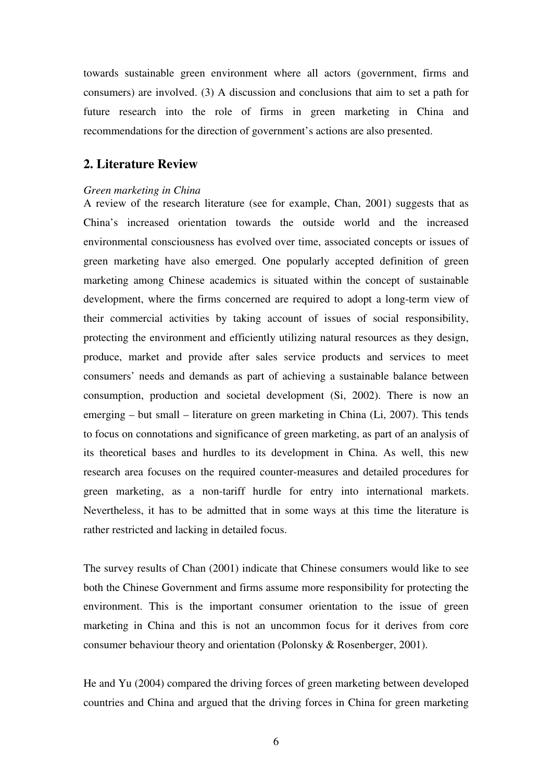towards sustainable green environment where all actors (government, firms and consumers) are involved. (3) A discussion and conclusions that aim to set a path for future research into the role of firms in green marketing in China and recommendations for the direction of government's actions are also presented.

## **2. Literature Review**

#### *Green marketing in China*

A review of the research literature (see for example, Chan, 2001) suggests that as China's increased orientation towards the outside world and the increased environmental consciousness has evolved over time, associated concepts or issues of green marketing have also emerged. One popularly accepted definition of green marketing among Chinese academics is situated within the concept of sustainable development, where the firms concerned are required to adopt a long-term view of their commercial activities by taking account of issues of social responsibility, protecting the environment and efficiently utilizing natural resources as they design, produce, market and provide after sales service products and services to meet consumers' needs and demands as part of achieving a sustainable balance between consumption, production and societal development (Si, 2002). There is now an emerging – but small – literature on green marketing in China (Li, 2007). This tends to focus on connotations and significance of green marketing, as part of an analysis of its theoretical bases and hurdles to its development in China. As well, this new research area focuses on the required counter-measures and detailed procedures for green marketing, as a non-tariff hurdle for entry into international markets. Nevertheless, it has to be admitted that in some ways at this time the literature is rather restricted and lacking in detailed focus.

The survey results of Chan (2001) indicate that Chinese consumers would like to see both the Chinese Government and firms assume more responsibility for protecting the environment. This is the important consumer orientation to the issue of green marketing in China and this is not an uncommon focus for it derives from core consumer behaviour theory and orientation (Polonsky & Rosenberger, 2001).

He and Yu (2004) compared the driving forces of green marketing between developed countries and China and argued that the driving forces in China for green marketing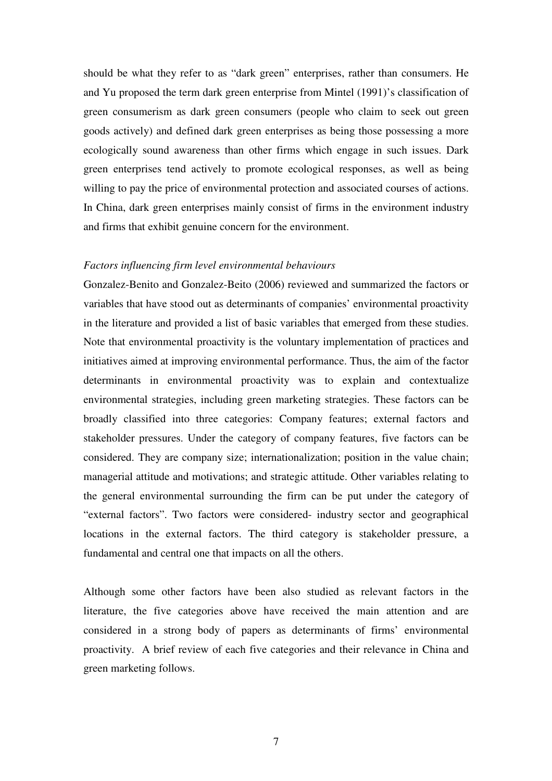should be what they refer to as "dark green" enterprises, rather than consumers. He and Yu proposed the term dark green enterprise from Mintel (1991)'s classification of green consumerism as dark green consumers (people who claim to seek out green goods actively) and defined dark green enterprises as being those possessing a more ecologically sound awareness than other firms which engage in such issues. Dark green enterprises tend actively to promote ecological responses, as well as being willing to pay the price of environmental protection and associated courses of actions. In China, dark green enterprises mainly consist of firms in the environment industry and firms that exhibit genuine concern for the environment.

## *Factors influencing firm level environmental behaviours*

Gonzalez-Benito and Gonzalez-Beito (2006) reviewed and summarized the factors or variables that have stood out as determinants of companies' environmental proactivity in the literature and provided a list of basic variables that emerged from these studies. Note that environmental proactivity is the voluntary implementation of practices and initiatives aimed at improving environmental performance. Thus, the aim of the factor determinants in environmental proactivity was to explain and contextualize environmental strategies, including green marketing strategies. These factors can be broadly classified into three categories: Company features; external factors and stakeholder pressures. Under the category of company features, five factors can be considered. They are company size; internationalization; position in the value chain; managerial attitude and motivations; and strategic attitude. Other variables relating to the general environmental surrounding the firm can be put under the category of "external factors". Two factors were considered- industry sector and geographical locations in the external factors. The third category is stakeholder pressure, a fundamental and central one that impacts on all the others.

Although some other factors have been also studied as relevant factors in the literature, the five categories above have received the main attention and are considered in a strong body of papers as determinants of firms' environmental proactivity. A brief review of each five categories and their relevance in China and green marketing follows.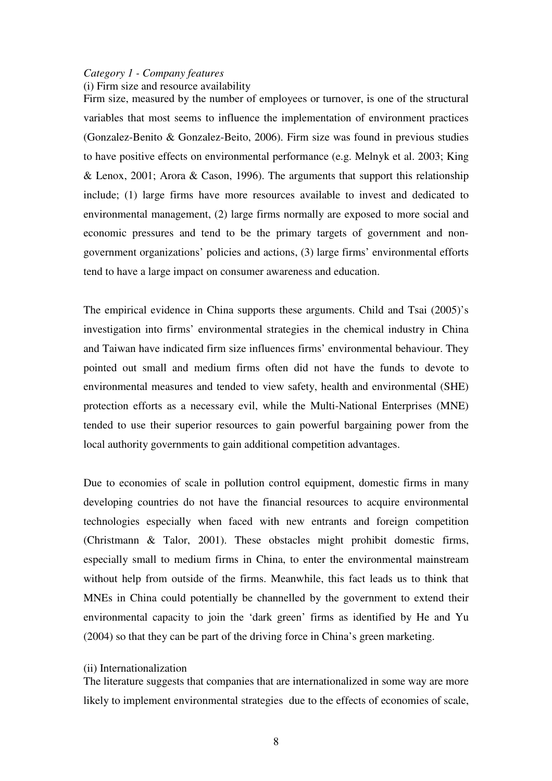## *Category 1 - Company features*

(i) Firm size and resource availability

Firm size, measured by the number of employees or turnover, is one of the structural variables that most seems to influence the implementation of environment practices (Gonzalez-Benito & Gonzalez-Beito, 2006). Firm size was found in previous studies to have positive effects on environmental performance (e.g. Melnyk et al. 2003; King & Lenox, 2001; Arora & Cason, 1996). The arguments that support this relationship include; (1) large firms have more resources available to invest and dedicated to environmental management, (2) large firms normally are exposed to more social and economic pressures and tend to be the primary targets of government and nongovernment organizations' policies and actions, (3) large firms' environmental efforts tend to have a large impact on consumer awareness and education.

The empirical evidence in China supports these arguments. Child and Tsai (2005)'s investigation into firms' environmental strategies in the chemical industry in China and Taiwan have indicated firm size influences firms' environmental behaviour. They pointed out small and medium firms often did not have the funds to devote to environmental measures and tended to view safety, health and environmental (SHE) protection efforts as a necessary evil, while the Multi-National Enterprises (MNE) tended to use their superior resources to gain powerful bargaining power from the local authority governments to gain additional competition advantages.

Due to economies of scale in pollution control equipment, domestic firms in many developing countries do not have the financial resources to acquire environmental technologies especially when faced with new entrants and foreign competition (Christmann & Talor, 2001). These obstacles might prohibit domestic firms, especially small to medium firms in China, to enter the environmental mainstream without help from outside of the firms. Meanwhile, this fact leads us to think that MNEs in China could potentially be channelled by the government to extend their environmental capacity to join the 'dark green' firms as identified by He and Yu (2004) so that they can be part of the driving force in China's green marketing.

#### (ii) Internationalization

The literature suggests that companies that are internationalized in some way are more likely to implement environmental strategies due to the effects of economies of scale,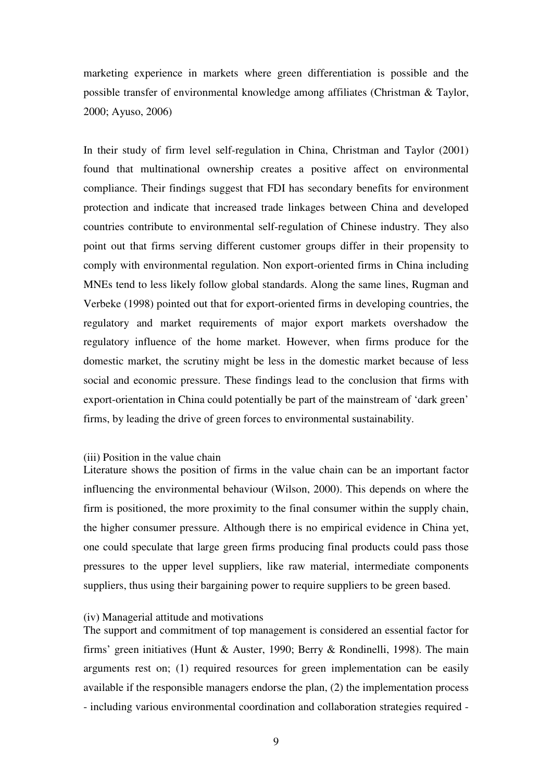marketing experience in markets where green differentiation is possible and the possible transfer of environmental knowledge among affiliates (Christman & Taylor, 2000; Ayuso, 2006)

In their study of firm level self-regulation in China, Christman and Taylor (2001) found that multinational ownership creates a positive affect on environmental compliance. Their findings suggest that FDI has secondary benefits for environment protection and indicate that increased trade linkages between China and developed countries contribute to environmental self-regulation of Chinese industry. They also point out that firms serving different customer groups differ in their propensity to comply with environmental regulation. Non export-oriented firms in China including MNEs tend to less likely follow global standards. Along the same lines, Rugman and Verbeke (1998) pointed out that for export-oriented firms in developing countries, the regulatory and market requirements of major export markets overshadow the regulatory influence of the home market. However, when firms produce for the domestic market, the scrutiny might be less in the domestic market because of less social and economic pressure. These findings lead to the conclusion that firms with export-orientation in China could potentially be part of the mainstream of 'dark green' firms, by leading the drive of green forces to environmental sustainability.

#### (iii) Position in the value chain

Literature shows the position of firms in the value chain can be an important factor influencing the environmental behaviour (Wilson, 2000). This depends on where the firm is positioned, the more proximity to the final consumer within the supply chain, the higher consumer pressure. Although there is no empirical evidence in China yet, one could speculate that large green firms producing final products could pass those pressures to the upper level suppliers, like raw material, intermediate components suppliers, thus using their bargaining power to require suppliers to be green based.

#### (iv) Managerial attitude and motivations

The support and commitment of top management is considered an essential factor for firms' green initiatives (Hunt & Auster, 1990; Berry & Rondinelli, 1998). The main arguments rest on; (1) required resources for green implementation can be easily available if the responsible managers endorse the plan, (2) the implementation process - including various environmental coordination and collaboration strategies required -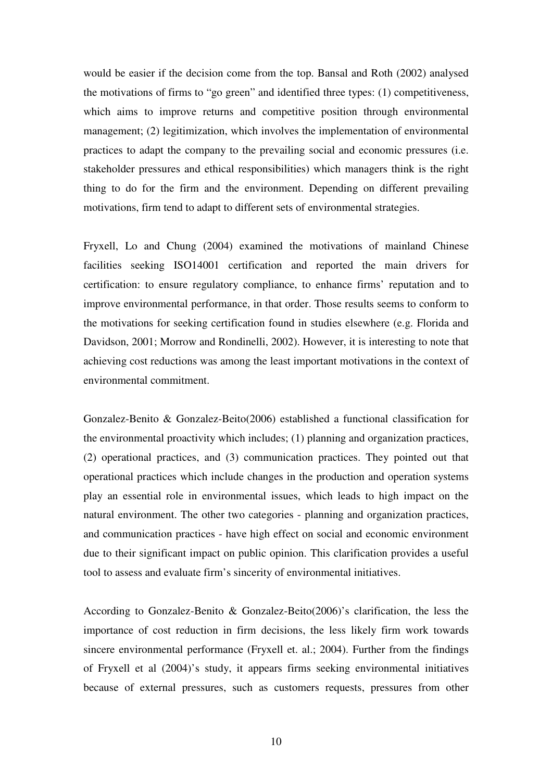would be easier if the decision come from the top. Bansal and Roth (2002) analysed the motivations of firms to "go green" and identified three types: (1) competitiveness, which aims to improve returns and competitive position through environmental management; (2) legitimization, which involves the implementation of environmental practices to adapt the company to the prevailing social and economic pressures (i.e. stakeholder pressures and ethical responsibilities) which managers think is the right thing to do for the firm and the environment. Depending on different prevailing motivations, firm tend to adapt to different sets of environmental strategies.

Fryxell, Lo and Chung (2004) examined the motivations of mainland Chinese facilities seeking ISO14001 certification and reported the main drivers for certification: to ensure regulatory compliance, to enhance firms' reputation and to improve environmental performance, in that order. Those results seems to conform to the motivations for seeking certification found in studies elsewhere (e.g. Florida and Davidson, 2001; Morrow and Rondinelli, 2002). However, it is interesting to note that achieving cost reductions was among the least important motivations in the context of environmental commitment.

Gonzalez-Benito & Gonzalez-Beito(2006) established a functional classification for the environmental proactivity which includes; (1) planning and organization practices, (2) operational practices, and (3) communication practices. They pointed out that operational practices which include changes in the production and operation systems play an essential role in environmental issues, which leads to high impact on the natural environment. The other two categories - planning and organization practices, and communication practices - have high effect on social and economic environment due to their significant impact on public opinion. This clarification provides a useful tool to assess and evaluate firm's sincerity of environmental initiatives.

According to Gonzalez-Benito & Gonzalez-Beito(2006)'s clarification, the less the importance of cost reduction in firm decisions, the less likely firm work towards sincere environmental performance (Fryxell et. al.; 2004). Further from the findings of Fryxell et al (2004)'s study, it appears firms seeking environmental initiatives because of external pressures, such as customers requests, pressures from other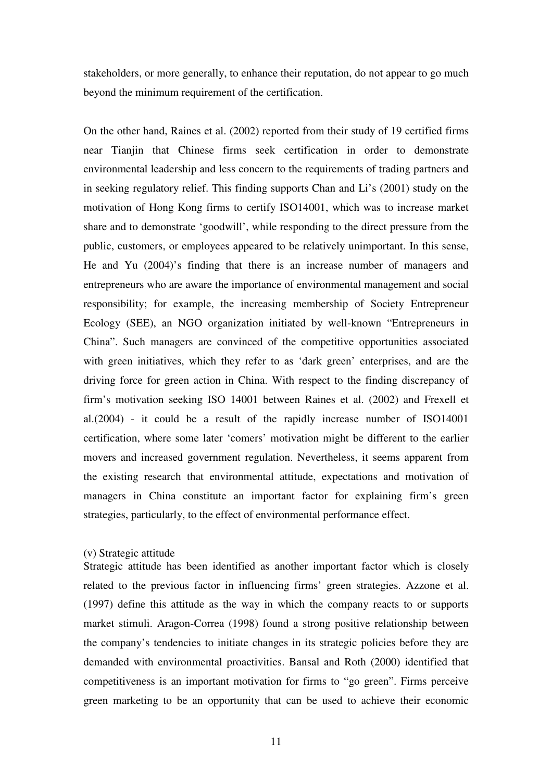stakeholders, or more generally, to enhance their reputation, do not appear to go much beyond the minimum requirement of the certification.

On the other hand, Raines et al. (2002) reported from their study of 19 certified firms near Tianjin that Chinese firms seek certification in order to demonstrate environmental leadership and less concern to the requirements of trading partners and in seeking regulatory relief. This finding supports Chan and Li's (2001) study on the motivation of Hong Kong firms to certify ISO14001, which was to increase market share and to demonstrate 'goodwill', while responding to the direct pressure from the public, customers, or employees appeared to be relatively unimportant. In this sense, He and Yu (2004)'s finding that there is an increase number of managers and entrepreneurs who are aware the importance of environmental management and social responsibility; for example, the increasing membership of Society Entrepreneur Ecology (SEE), an NGO organization initiated by well-known "Entrepreneurs in China". Such managers are convinced of the competitive opportunities associated with green initiatives, which they refer to as 'dark green' enterprises, and are the driving force for green action in China. With respect to the finding discrepancy of firm's motivation seeking ISO 14001 between Raines et al. (2002) and Frexell et al.(2004) - it could be a result of the rapidly increase number of ISO14001 certification, where some later 'comers' motivation might be different to the earlier movers and increased government regulation. Nevertheless, it seems apparent from the existing research that environmental attitude, expectations and motivation of managers in China constitute an important factor for explaining firm's green strategies, particularly, to the effect of environmental performance effect.

## (v) Strategic attitude

Strategic attitude has been identified as another important factor which is closely related to the previous factor in influencing firms' green strategies. Azzone et al. (1997) define this attitude as the way in which the company reacts to or supports market stimuli. Aragon-Correa (1998) found a strong positive relationship between the company's tendencies to initiate changes in its strategic policies before they are demanded with environmental proactivities. Bansal and Roth (2000) identified that competitiveness is an important motivation for firms to "go green". Firms perceive green marketing to be an opportunity that can be used to achieve their economic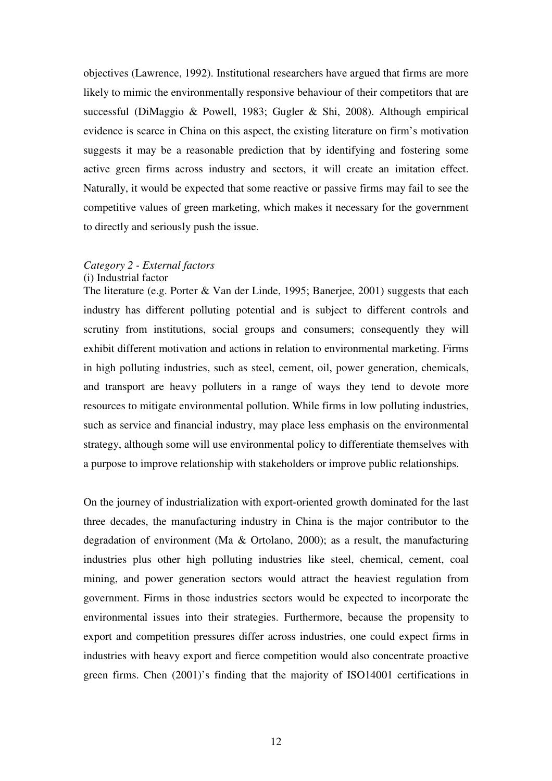objectives (Lawrence, 1992). Institutional researchers have argued that firms are more likely to mimic the environmentally responsive behaviour of their competitors that are successful (DiMaggio & Powell, 1983; Gugler & Shi, 2008). Although empirical evidence is scarce in China on this aspect, the existing literature on firm's motivation suggests it may be a reasonable prediction that by identifying and fostering some active green firms across industry and sectors, it will create an imitation effect. Naturally, it would be expected that some reactive or passive firms may fail to see the competitive values of green marketing, which makes it necessary for the government to directly and seriously push the issue.

### *Category 2 - External factors*

#### (i) Industrial factor

The literature (e.g. Porter & Van der Linde, 1995; Banerjee, 2001) suggests that each industry has different polluting potential and is subject to different controls and scrutiny from institutions, social groups and consumers; consequently they will exhibit different motivation and actions in relation to environmental marketing. Firms in high polluting industries, such as steel, cement, oil, power generation, chemicals, and transport are heavy polluters in a range of ways they tend to devote more resources to mitigate environmental pollution. While firms in low polluting industries, such as service and financial industry, may place less emphasis on the environmental strategy, although some will use environmental policy to differentiate themselves with a purpose to improve relationship with stakeholders or improve public relationships.

On the journey of industrialization with export-oriented growth dominated for the last three decades, the manufacturing industry in China is the major contributor to the degradation of environment (Ma & Ortolano, 2000); as a result, the manufacturing industries plus other high polluting industries like steel, chemical, cement, coal mining, and power generation sectors would attract the heaviest regulation from government. Firms in those industries sectors would be expected to incorporate the environmental issues into their strategies. Furthermore, because the propensity to export and competition pressures differ across industries, one could expect firms in industries with heavy export and fierce competition would also concentrate proactive green firms. Chen (2001)'s finding that the majority of ISO14001 certifications in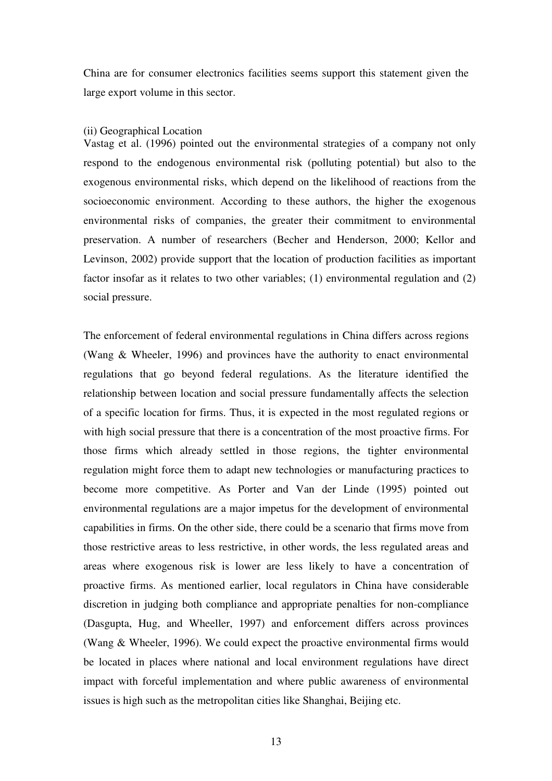China are for consumer electronics facilities seems support this statement given the large export volume in this sector.

#### (ii) Geographical Location

Vastag et al. (1996) pointed out the environmental strategies of a company not only respond to the endogenous environmental risk (polluting potential) but also to the exogenous environmental risks, which depend on the likelihood of reactions from the socioeconomic environment. According to these authors, the higher the exogenous environmental risks of companies, the greater their commitment to environmental preservation. A number of researchers (Becher and Henderson, 2000; Kellor and Levinson, 2002) provide support that the location of production facilities as important factor insofar as it relates to two other variables; (1) environmental regulation and (2) social pressure.

The enforcement of federal environmental regulations in China differs across regions (Wang & Wheeler, 1996) and provinces have the authority to enact environmental regulations that go beyond federal regulations. As the literature identified the relationship between location and social pressure fundamentally affects the selection of a specific location for firms. Thus, it is expected in the most regulated regions or with high social pressure that there is a concentration of the most proactive firms. For those firms which already settled in those regions, the tighter environmental regulation might force them to adapt new technologies or manufacturing practices to become more competitive. As Porter and Van der Linde (1995) pointed out environmental regulations are a major impetus for the development of environmental capabilities in firms. On the other side, there could be a scenario that firms move from those restrictive areas to less restrictive, in other words, the less regulated areas and areas where exogenous risk is lower are less likely to have a concentration of proactive firms. As mentioned earlier, local regulators in China have considerable discretion in judging both compliance and appropriate penalties for non-compliance (Dasgupta, Hug, and Wheeller, 1997) and enforcement differs across provinces (Wang & Wheeler, 1996). We could expect the proactive environmental firms would be located in places where national and local environment regulations have direct impact with forceful implementation and where public awareness of environmental issues is high such as the metropolitan cities like Shanghai, Beijing etc.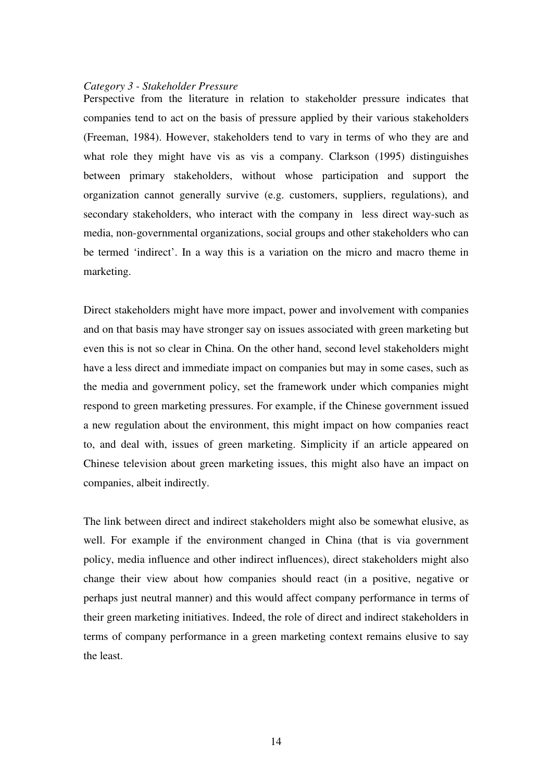#### *Category 3 - Stakeholder Pressure*

Perspective from the literature in relation to stakeholder pressure indicates that companies tend to act on the basis of pressure applied by their various stakeholders (Freeman, 1984). However, stakeholders tend to vary in terms of who they are and what role they might have vis as vis a company. Clarkson (1995) distinguishes between primary stakeholders, without whose participation and support the organization cannot generally survive (e.g. customers, suppliers, regulations), and secondary stakeholders, who interact with the company in less direct way-such as media, non-governmental organizations, social groups and other stakeholders who can be termed 'indirect'. In a way this is a variation on the micro and macro theme in marketing.

Direct stakeholders might have more impact, power and involvement with companies and on that basis may have stronger say on issues associated with green marketing but even this is not so clear in China. On the other hand, second level stakeholders might have a less direct and immediate impact on companies but may in some cases, such as the media and government policy, set the framework under which companies might respond to green marketing pressures. For example, if the Chinese government issued a new regulation about the environment, this might impact on how companies react to, and deal with, issues of green marketing. Simplicity if an article appeared on Chinese television about green marketing issues, this might also have an impact on companies, albeit indirectly.

The link between direct and indirect stakeholders might also be somewhat elusive, as well. For example if the environment changed in China (that is via government policy, media influence and other indirect influences), direct stakeholders might also change their view about how companies should react (in a positive, negative or perhaps just neutral manner) and this would affect company performance in terms of their green marketing initiatives. Indeed, the role of direct and indirect stakeholders in terms of company performance in a green marketing context remains elusive to say the least.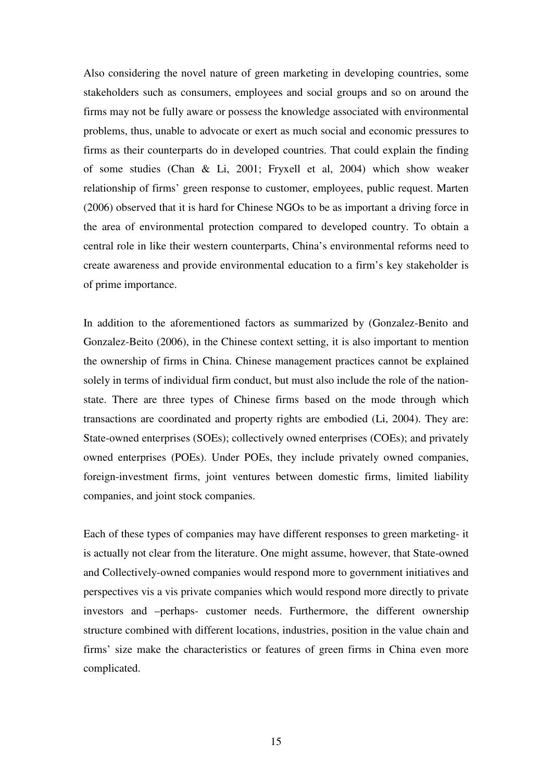Also considering the novel nature of green marketing in developing countries, some stakeholders such as consumers, employees and social groups and so on around the firms may not be fully aware or possess the knowledge associated with environmental problems, thus, unable to advocate or exert as much social and economic pressures to firms as their counterparts do in developed countries. That could explain the finding of some studies (Chan & Li, 2001; Fryxell et al, 2004) which show weaker relationship of firms' green response to customer, employees, public request. Marten (2006) observed that it is hard for Chinese NGOs to be as important a driving force in the area of environmental protection compared to developed country. To obtain a central role in like their western counterparts, China's environmental reforms need to create awareness and provide environmental education to a firm's key stakeholder is of prime importance.

In addition to the aforementioned factors as summarized by (Gonzalez-Benito and Gonzalez-Beito (2006), in the Chinese context setting, it is also important to mention the ownership of firms in China. Chinese management practices cannot be explained solely in terms of individual firm conduct, but must also include the role of the nationstate. There are three types of Chinese firms based on the mode through which transactions are coordinated and property rights are embodied (Li, 2004). They are: State-owned enterprises (SOEs); collectively owned enterprises (COEs); and privately owned enterprises (POEs). Under POEs, they include privately owned companies, foreign-investment firms, joint ventures between domestic firms, limited liability companies, and joint stock companies.

Each of these types of companies may have different responses to green marketing- it is actually not clear from the literature. One might assume, however, that State-owned and Collectively-owned companies would respond more to government initiatives and perspectives vis a vis private companies which would respond more directly to private investors and –perhaps- customer needs. Furthermore, the different ownership structure combined with different locations, industries, position in the value chain and firms' size make the characteristics or features of green firms in China even more complicated.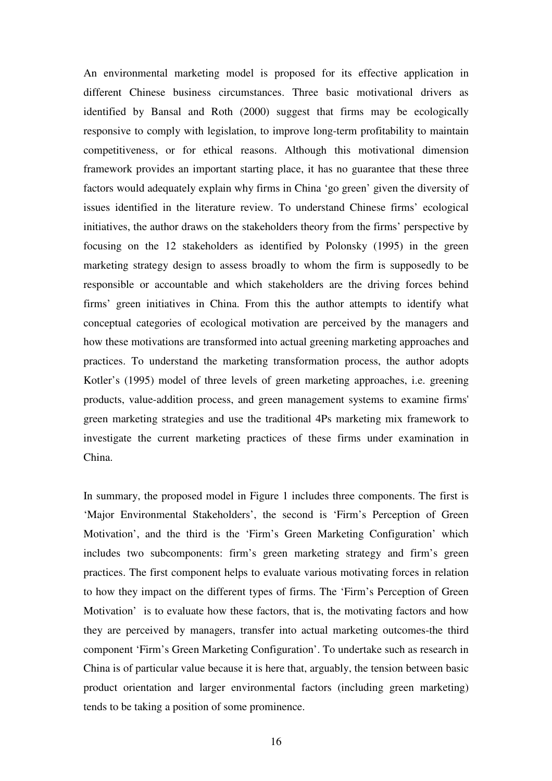An environmental marketing model is proposed for its effective application in different Chinese business circumstances. Three basic motivational drivers as identified by Bansal and Roth (2000) suggest that firms may be ecologically responsive to comply with legislation, to improve long-term profitability to maintain competitiveness, or for ethical reasons. Although this motivational dimension framework provides an important starting place, it has no guarantee that these three factors would adequately explain why firms in China 'go green' given the diversity of issues identified in the literature review. To understand Chinese firms' ecological initiatives, the author draws on the stakeholders theory from the firms' perspective by focusing on the 12 stakeholders as identified by Polonsky (1995) in the green marketing strategy design to assess broadly to whom the firm is supposedly to be responsible or accountable and which stakeholders are the driving forces behind firms' green initiatives in China. From this the author attempts to identify what conceptual categories of ecological motivation are perceived by the managers and how these motivations are transformed into actual greening marketing approaches and practices. To understand the marketing transformation process, the author adopts Kotler's (1995) model of three levels of green marketing approaches, i.e. greening products, value-addition process, and green management systems to examine firms' green marketing strategies and use the traditional 4Ps marketing mix framework to investigate the current marketing practices of these firms under examination in China.

In summary, the proposed model in Figure 1 includes three components. The first is 'Major Environmental Stakeholders', the second is 'Firm's Perception of Green Motivation', and the third is the 'Firm's Green Marketing Configuration' which includes two subcomponents: firm's green marketing strategy and firm's green practices. The first component helps to evaluate various motivating forces in relation to how they impact on the different types of firms. The 'Firm's Perception of Green Motivation' is to evaluate how these factors, that is, the motivating factors and how they are perceived by managers, transfer into actual marketing outcomes-the third component 'Firm's Green Marketing Configuration'. To undertake such as research in China is of particular value because it is here that, arguably, the tension between basic product orientation and larger environmental factors (including green marketing) tends to be taking a position of some prominence.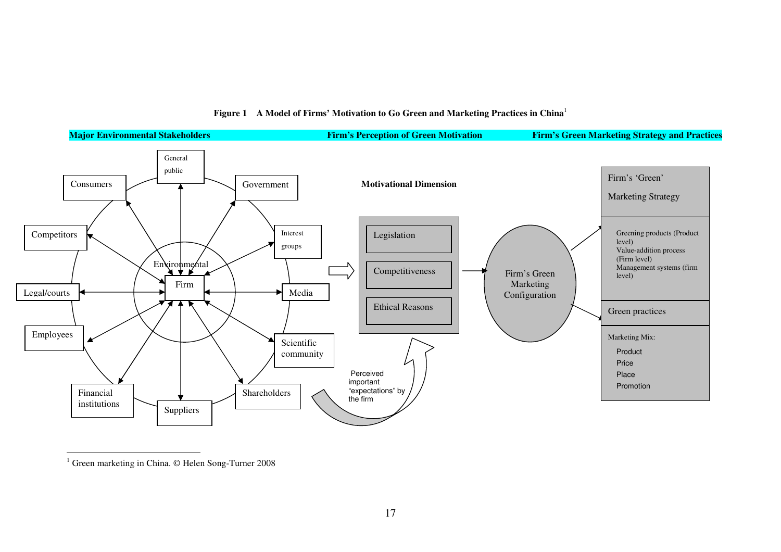

#### **Figure 1 A Model of Firms' Motivation to Go Green and Marketing Practices in China**<sup>1</sup>

<sup>&</sup>lt;sup>1</sup> Green marketing in China. © Helen Song-Turner 2008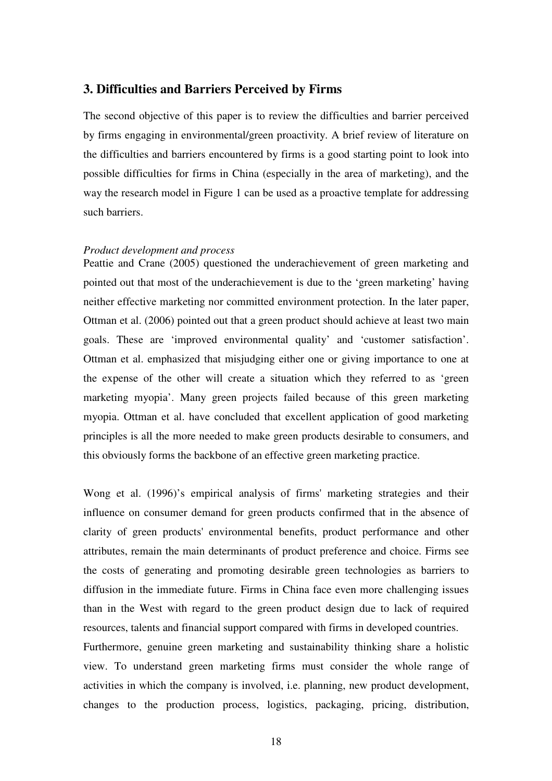## **3. Difficulties and Barriers Perceived by Firms**

The second objective of this paper is to review the difficulties and barrier perceived by firms engaging in environmental/green proactivity. A brief review of literature on the difficulties and barriers encountered by firms is a good starting point to look into possible difficulties for firms in China (especially in the area of marketing), and the way the research model in Figure 1 can be used as a proactive template for addressing such barriers.

## *Product development and process*

Peattie and Crane (2005) questioned the underachievement of green marketing and pointed out that most of the underachievement is due to the 'green marketing' having neither effective marketing nor committed environment protection. In the later paper, Ottman et al. (2006) pointed out that a green product should achieve at least two main goals. These are 'improved environmental quality' and 'customer satisfaction'. Ottman et al. emphasized that misjudging either one or giving importance to one at the expense of the other will create a situation which they referred to as 'green marketing myopia'. Many green projects failed because of this green marketing myopia. Ottman et al. have concluded that excellent application of good marketing principles is all the more needed to make green products desirable to consumers, and this obviously forms the backbone of an effective green marketing practice.

Wong et al. (1996)'s empirical analysis of firms' marketing strategies and their influence on consumer demand for green products confirmed that in the absence of clarity of green products' environmental benefits, product performance and other attributes, remain the main determinants of product preference and choice. Firms see the costs of generating and promoting desirable green technologies as barriers to diffusion in the immediate future. Firms in China face even more challenging issues than in the West with regard to the green product design due to lack of required resources, talents and financial support compared with firms in developed countries.

Furthermore, genuine green marketing and sustainability thinking share a holistic view. To understand green marketing firms must consider the whole range of activities in which the company is involved, i.e. planning, new product development, changes to the production process, logistics, packaging, pricing, distribution,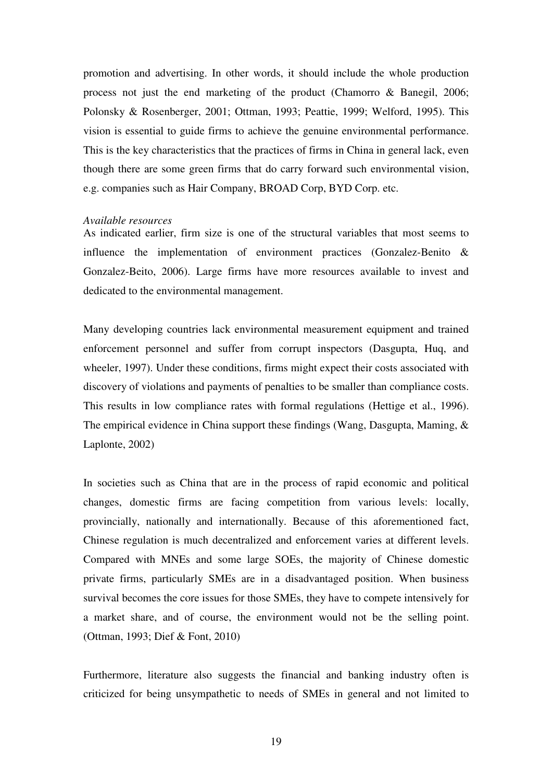promotion and advertising. In other words, it should include the whole production process not just the end marketing of the product (Chamorro & Banegil, 2006; Polonsky & Rosenberger, 2001; Ottman, 1993; Peattie, 1999; Welford, 1995). This vision is essential to guide firms to achieve the genuine environmental performance. This is the key characteristics that the practices of firms in China in general lack, even though there are some green firms that do carry forward such environmental vision, e.g. companies such as Hair Company, BROAD Corp, BYD Corp. etc.

#### *Available resources*

As indicated earlier, firm size is one of the structural variables that most seems to influence the implementation of environment practices (Gonzalez-Benito & Gonzalez-Beito, 2006). Large firms have more resources available to invest and dedicated to the environmental management.

Many developing countries lack environmental measurement equipment and trained enforcement personnel and suffer from corrupt inspectors (Dasgupta, Huq, and wheeler, 1997). Under these conditions, firms might expect their costs associated with discovery of violations and payments of penalties to be smaller than compliance costs. This results in low compliance rates with formal regulations (Hettige et al., 1996). The empirical evidence in China support these findings (Wang, Dasgupta, Maming, & Laplonte, 2002)

In societies such as China that are in the process of rapid economic and political changes, domestic firms are facing competition from various levels: locally, provincially, nationally and internationally. Because of this aforementioned fact, Chinese regulation is much decentralized and enforcement varies at different levels. Compared with MNEs and some large SOEs, the majority of Chinese domestic private firms, particularly SMEs are in a disadvantaged position. When business survival becomes the core issues for those SMEs, they have to compete intensively for a market share, and of course, the environment would not be the selling point. (Ottman, 1993; Dief & Font, 2010)

Furthermore, literature also suggests the financial and banking industry often is criticized for being unsympathetic to needs of SMEs in general and not limited to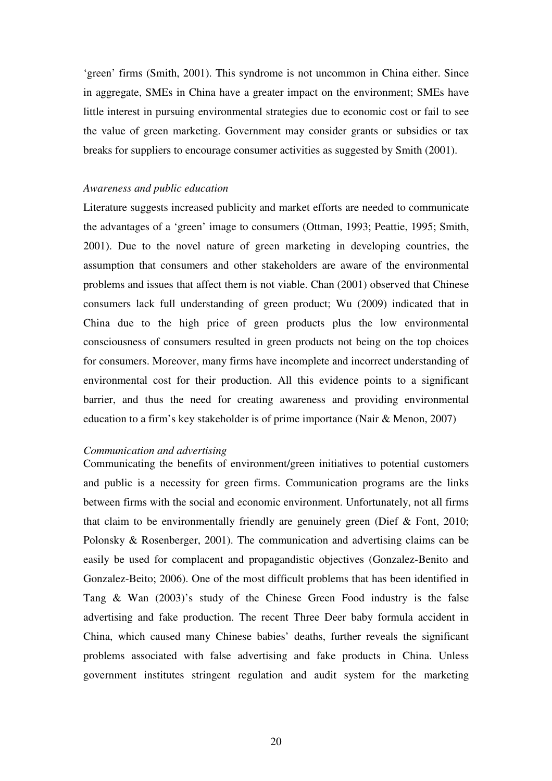'green' firms (Smith, 2001). This syndrome is not uncommon in China either. Since in aggregate, SMEs in China have a greater impact on the environment; SMEs have little interest in pursuing environmental strategies due to economic cost or fail to see the value of green marketing. Government may consider grants or subsidies or tax breaks for suppliers to encourage consumer activities as suggested by Smith (2001).

#### *Awareness and public education*

Literature suggests increased publicity and market efforts are needed to communicate the advantages of a 'green' image to consumers (Ottman, 1993; Peattie, 1995; Smith, 2001). Due to the novel nature of green marketing in developing countries, the assumption that consumers and other stakeholders are aware of the environmental problems and issues that affect them is not viable. Chan (2001) observed that Chinese consumers lack full understanding of green product; Wu (2009) indicated that in China due to the high price of green products plus the low environmental consciousness of consumers resulted in green products not being on the top choices for consumers. Moreover, many firms have incomplete and incorrect understanding of environmental cost for their production. All this evidence points to a significant barrier, and thus the need for creating awareness and providing environmental education to a firm's key stakeholder is of prime importance (Nair & Menon, 2007)

#### *Communication and advertising*

Communicating the benefits of environment/green initiatives to potential customers and public is a necessity for green firms. Communication programs are the links between firms with the social and economic environment. Unfortunately, not all firms that claim to be environmentally friendly are genuinely green (Dief & Font, 2010; Polonsky & Rosenberger, 2001). The communication and advertising claims can be easily be used for complacent and propagandistic objectives (Gonzalez-Benito and Gonzalez-Beito; 2006). One of the most difficult problems that has been identified in Tang & Wan (2003)'s study of the Chinese Green Food industry is the false advertising and fake production. The recent Three Deer baby formula accident in China, which caused many Chinese babies' deaths, further reveals the significant problems associated with false advertising and fake products in China. Unless government institutes stringent regulation and audit system for the marketing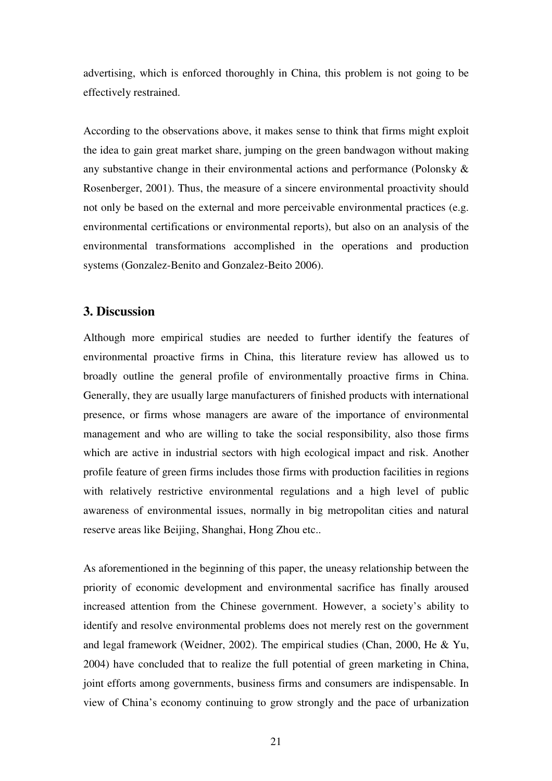advertising, which is enforced thoroughly in China, this problem is not going to be effectively restrained.

According to the observations above, it makes sense to think that firms might exploit the idea to gain great market share, jumping on the green bandwagon without making any substantive change in their environmental actions and performance (Polonsky & Rosenberger, 2001). Thus, the measure of a sincere environmental proactivity should not only be based on the external and more perceivable environmental practices (e.g. environmental certifications or environmental reports), but also on an analysis of the environmental transformations accomplished in the operations and production systems (Gonzalez-Benito and Gonzalez-Beito 2006).

## **3. Discussion**

Although more empirical studies are needed to further identify the features of environmental proactive firms in China, this literature review has allowed us to broadly outline the general profile of environmentally proactive firms in China. Generally, they are usually large manufacturers of finished products with international presence, or firms whose managers are aware of the importance of environmental management and who are willing to take the social responsibility, also those firms which are active in industrial sectors with high ecological impact and risk. Another profile feature of green firms includes those firms with production facilities in regions with relatively restrictive environmental regulations and a high level of public awareness of environmental issues, normally in big metropolitan cities and natural reserve areas like Beijing, Shanghai, Hong Zhou etc..

As aforementioned in the beginning of this paper, the uneasy relationship between the priority of economic development and environmental sacrifice has finally aroused increased attention from the Chinese government. However, a society's ability to identify and resolve environmental problems does not merely rest on the government and legal framework (Weidner, 2002). The empirical studies (Chan, 2000, He & Yu, 2004) have concluded that to realize the full potential of green marketing in China, joint efforts among governments, business firms and consumers are indispensable. In view of China's economy continuing to grow strongly and the pace of urbanization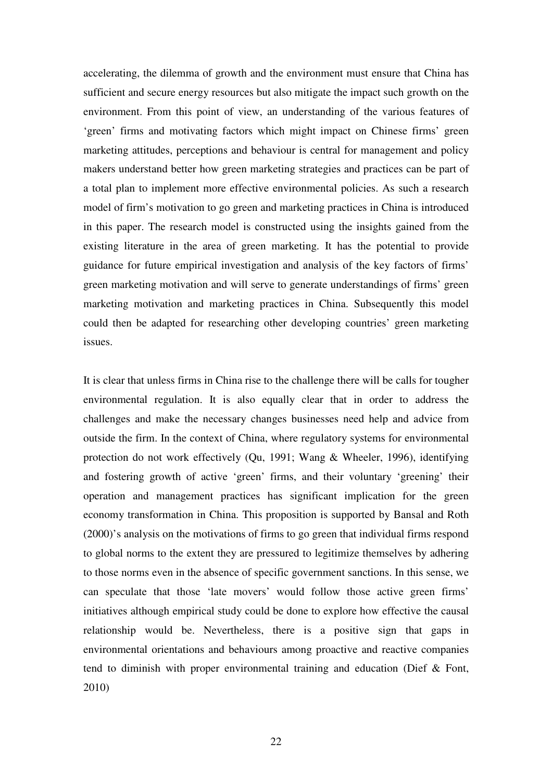accelerating, the dilemma of growth and the environment must ensure that China has sufficient and secure energy resources but also mitigate the impact such growth on the environment. From this point of view, an understanding of the various features of 'green' firms and motivating factors which might impact on Chinese firms' green marketing attitudes, perceptions and behaviour is central for management and policy makers understand better how green marketing strategies and practices can be part of a total plan to implement more effective environmental policies. As such a research model of firm's motivation to go green and marketing practices in China is introduced in this paper. The research model is constructed using the insights gained from the existing literature in the area of green marketing. It has the potential to provide guidance for future empirical investigation and analysis of the key factors of firms' green marketing motivation and will serve to generate understandings of firms' green marketing motivation and marketing practices in China. Subsequently this model could then be adapted for researching other developing countries' green marketing issues.

It is clear that unless firms in China rise to the challenge there will be calls for tougher environmental regulation. It is also equally clear that in order to address the challenges and make the necessary changes businesses need help and advice from outside the firm. In the context of China, where regulatory systems for environmental protection do not work effectively (Qu, 1991; Wang & Wheeler, 1996), identifying and fostering growth of active 'green' firms, and their voluntary 'greening' their operation and management practices has significant implication for the green economy transformation in China. This proposition is supported by Bansal and Roth (2000)'s analysis on the motivations of firms to go green that individual firms respond to global norms to the extent they are pressured to legitimize themselves by adhering to those norms even in the absence of specific government sanctions. In this sense, we can speculate that those 'late movers' would follow those active green firms' initiatives although empirical study could be done to explore how effective the causal relationship would be. Nevertheless, there is a positive sign that gaps in environmental orientations and behaviours among proactive and reactive companies tend to diminish with proper environmental training and education (Dief & Font, 2010)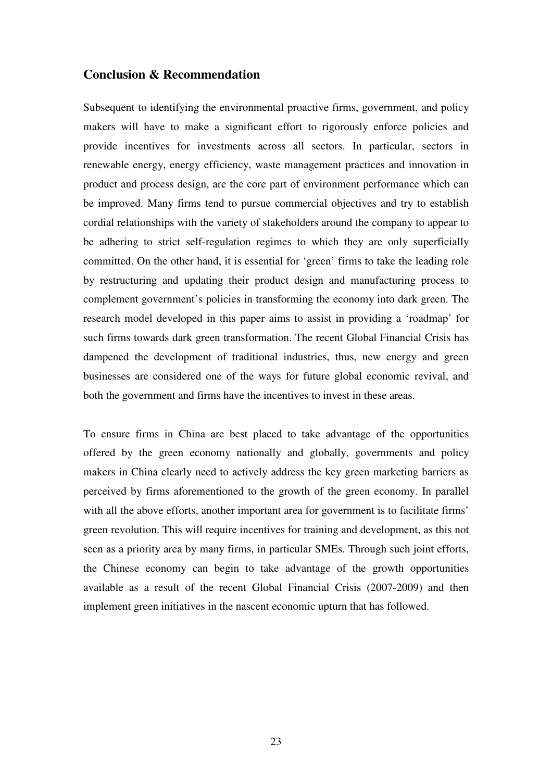## **Conclusion & Recommendation**

Subsequent to identifying the environmental proactive firms, government, and policy makers will have to make a significant effort to rigorously enforce policies and provide incentives for investments across all sectors. In particular, sectors in renewable energy, energy efficiency, waste management practices and innovation in product and process design, are the core part of environment performance which can be improved. Many firms tend to pursue commercial objectives and try to establish cordial relationships with the variety of stakeholders around the company to appear to be adhering to strict self-regulation regimes to which they are only superficially committed. On the other hand, it is essential for 'green' firms to take the leading role by restructuring and updating their product design and manufacturing process to complement government's policies in transforming the economy into dark green. The research model developed in this paper aims to assist in providing a 'roadmap' for such firms towards dark green transformation. The recent Global Financial Crisis has dampened the development of traditional industries, thus, new energy and green businesses are considered one of the ways for future global economic revival, and both the government and firms have the incentives to invest in these areas.

To ensure firms in China are best placed to take advantage of the opportunities offered by the green economy nationally and globally, governments and policy makers in China clearly need to actively address the key green marketing barriers as perceived by firms aforementioned to the growth of the green economy. In parallel with all the above efforts, another important area for government is to facilitate firms' green revolution. This will require incentives for training and development, as this not seen as a priority area by many firms, in particular SMEs. Through such joint efforts, the Chinese economy can begin to take advantage of the growth opportunities available as a result of the recent Global Financial Crisis (2007-2009) and then implement green initiatives in the nascent economic upturn that has followed.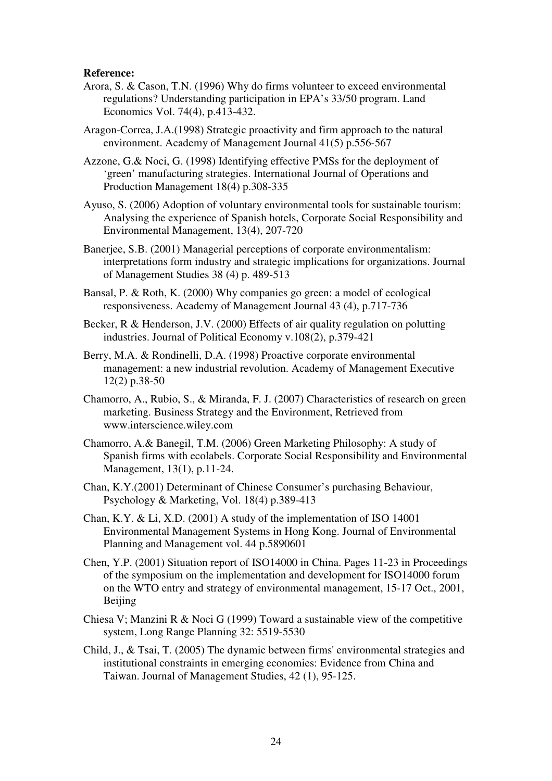### **Reference:**

- Arora, S. & Cason, T.N. (1996) Why do firms volunteer to exceed environmental regulations? Understanding participation in EPA's 33/50 program. Land Economics Vol. 74(4), p.413-432.
- Aragon-Correa, J.A.(1998) Strategic proactivity and firm approach to the natural environment. Academy of Management Journal 41(5) p.556-567

Azzone, G.& Noci, G. (1998) Identifying effective PMSs for the deployment of 'green' manufacturing strategies. International Journal of Operations and Production Management 18(4) p.308-335

- Ayuso, S. (2006) Adoption of voluntary environmental tools for sustainable tourism: Analysing the experience of Spanish hotels, Corporate Social Responsibility and Environmental Management, 13(4), 207-720
- Baneriee, S.B. (2001) Managerial perceptions of corporate environmentalism: interpretations form industry and strategic implications for organizations. Journal of Management Studies 38 (4) p. 489-513
- Bansal, P. & Roth, K. (2000) Why companies go green: a model of ecological responsiveness. Academy of Management Journal 43 (4), p.717-736
- Becker, R & Henderson, J.V. (2000) Effects of air quality regulation on polutting industries. Journal of Political Economy v.108(2), p.379-421
- Berry, M.A. & Rondinelli, D.A. (1998) Proactive corporate environmental management: a new industrial revolution. Academy of Management Executive 12(2) p.38-50
- Chamorro, A., Rubio, S., & Miranda, F. J. (2007) Characteristics of research on green marketing. Business Strategy and the Environment, Retrieved from www.interscience.wiley.com
- Chamorro, A.& Banegil, T.M. (2006) Green Marketing Philosophy: A study of Spanish firms with ecolabels. Corporate Social Responsibility and Environmental Management, 13(1), p.11-24.
- Chan, K.Y.(2001) Determinant of Chinese Consumer's purchasing Behaviour, Psychology & Marketing, Vol. 18(4) p.389-413
- Chan, K.Y. & Li, X.D. (2001) A study of the implementation of ISO 14001 Environmental Management Systems in Hong Kong. Journal of Environmental Planning and Management vol. 44 p.5890601
- Chen, Y.P. (2001) Situation report of ISO14000 in China. Pages 11-23 in Proceedings of the symposium on the implementation and development for ISO14000 forum on the WTO entry and strategy of environmental management, 15-17 Oct., 2001, Beijing
- Chiesa V; Manzini R & Noci G (1999) Toward a sustainable view of the competitive system, Long Range Planning 32: 5519-5530
- Child, J., & Tsai, T. (2005) The dynamic between firms' environmental strategies and institutional constraints in emerging economies: Evidence from China and Taiwan. Journal of Management Studies, 42 (1), 95-125.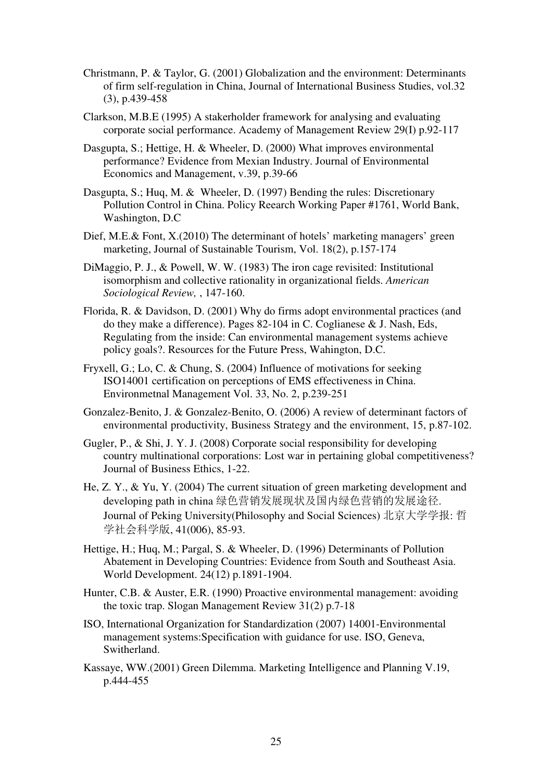- Christmann, P. & Taylor, G. (2001) Globalization and the environment: Determinants of firm self-regulation in China, Journal of International Business Studies, vol.32 (3), p.439-458
- Clarkson, M.B.E (1995) A stakerholder framework for analysing and evaluating corporate social performance. Academy of Management Review 29(I) p.92-117
- Dasgupta, S.; Hettige, H. & Wheeler, D. (2000) What improves environmental performance? Evidence from Mexian Industry. Journal of Environmental Economics and Management, v.39, p.39-66
- Dasgupta, S.; Huq, M. & Wheeler, D. (1997) Bending the rules: Discretionary Pollution Control in China. Policy Reearch Working Paper #1761, World Bank, Washington, D.C
- Dief, M.E.& Font, X.(2010) The determinant of hotels' marketing managers' green marketing, Journal of Sustainable Tourism, Vol. 18(2), p.157-174
- DiMaggio, P. J., & Powell, W. W. (1983) The iron cage revisited: Institutional isomorphism and collective rationality in organizational fields. *American Sociological Review,* , 147-160.
- Florida, R. & Davidson, D. (2001) Why do firms adopt environmental practices (and do they make a difference). Pages 82-104 in C. Coglianese & J. Nash, Eds, Regulating from the inside: Can environmental management systems achieve policy goals?. Resources for the Future Press, Wahington, D.C.
- Fryxell, G.; Lo, C. & Chung, S. (2004) Influence of motivations for seeking ISO14001 certification on perceptions of EMS effectiveness in China. Environmetnal Management Vol. 33, No. 2, p.239-251
- Gonzalez-Benito, J. & Gonzalez-Benito, O. (2006) A review of determinant factors of environmental productivity, Business Strategy and the environment, 15, p.87-102.
- Gugler, P., & Shi, J. Y. J. (2008) Corporate social responsibility for developing country multinational corporations: Lost war in pertaining global competitiveness? Journal of Business Ethics, 1-22.
- He, Z. Y., & Yu, Y. (2004) The current situation of green marketing development and developing path in china 绿色营销发展现状及国内绿色营销的发展途径. Journal of Peking University(Philosophy and Social Sciences) 北京大学学报: 哲 学社会科学版, 41(006), 85-93.
- Hettige, H.; Huq, M.; Pargal, S. & Wheeler, D. (1996) Determinants of Pollution Abatement in Developing Countries: Evidence from South and Southeast Asia. World Development. 24(12) p.1891-1904.
- Hunter, C.B. & Auster, E.R. (1990) Proactive environmental management: avoiding the toxic trap. Slogan Management Review 31(2) p.7-18
- ISO, International Organization for Standardization (2007) 14001-Environmental management systems:Specification with guidance for use. ISO, Geneva, Switherland.
- Kassaye, WW.(2001) Green Dilemma. Marketing Intelligence and Planning V.19, p.444-455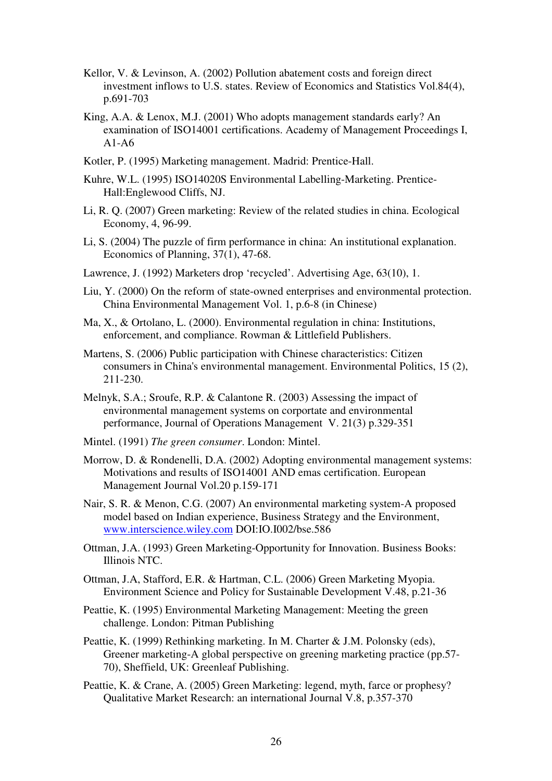- Kellor, V. & Levinson, A. (2002) Pollution abatement costs and foreign direct investment inflows to U.S. states. Review of Economics and Statistics Vol.84(4), p.691-703
- King, A.A. & Lenox, M.J. (2001) Who adopts management standards early? An examination of ISO14001 certifications. Academy of Management Proceedings I, A1-A6
- Kotler, P. (1995) Marketing management. Madrid: Prentice-Hall.
- Kuhre, W.L. (1995) ISO14020S Environmental Labelling-Marketing. Prentice-Hall:Englewood Cliffs, NJ.
- Li, R. Q. (2007) Green marketing: Review of the related studies in china. Ecological Economy, 4, 96-99.
- Li, S. (2004) The puzzle of firm performance in china: An institutional explanation. Economics of Planning, 37(1), 47-68.
- Lawrence, J. (1992) Marketers drop 'recycled'. Advertising Age, 63(10), 1.
- Liu, Y. (2000) On the reform of state-owned enterprises and environmental protection. China Environmental Management Vol. 1, p.6-8 (in Chinese)
- Ma, X., & Ortolano, L. (2000). Environmental regulation in china: Institutions, enforcement, and compliance. Rowman & Littlefield Publishers.
- Martens, S. (2006) Public participation with Chinese characteristics: Citizen consumers in China's environmental management. Environmental Politics, 15 (2), 211-230.
- Melnyk, S.A.; Sroufe, R.P. & Calantone R. (2003) Assessing the impact of environmental management systems on corportate and environmental performance, Journal of Operations Management V. 21(3) p.329-351
- Mintel. (1991) *The green consumer*. London: Mintel.
- Morrow, D. & Rondenelli, D.A. (2002) Adopting environmental management systems: Motivations and results of ISO14001 AND emas certification. European Management Journal Vol.20 p.159-171
- Nair, S. R. & Menon, C.G. (2007) An environmental marketing system-A proposed model based on Indian experience, Business Strategy and the Environment, www.interscience.wiley.com DOI:IO.I002/bse.586
- Ottman, J.A. (1993) Green Marketing-Opportunity for Innovation. Business Books: Illinois NTC.
- Ottman, J.A, Stafford, E.R. & Hartman, C.L. (2006) Green Marketing Myopia. Environment Science and Policy for Sustainable Development V.48, p.21-36
- Peattie, K. (1995) Environmental Marketing Management: Meeting the green challenge. London: Pitman Publishing
- Peattie, K. (1999) Rethinking marketing. In M. Charter & J.M. Polonsky (eds), Greener marketing-A global perspective on greening marketing practice (pp.57- 70), Sheffield, UK: Greenleaf Publishing.
- Peattie, K. & Crane, A. (2005) Green Marketing: legend, myth, farce or prophesy? Qualitative Market Research: an international Journal V.8, p.357-370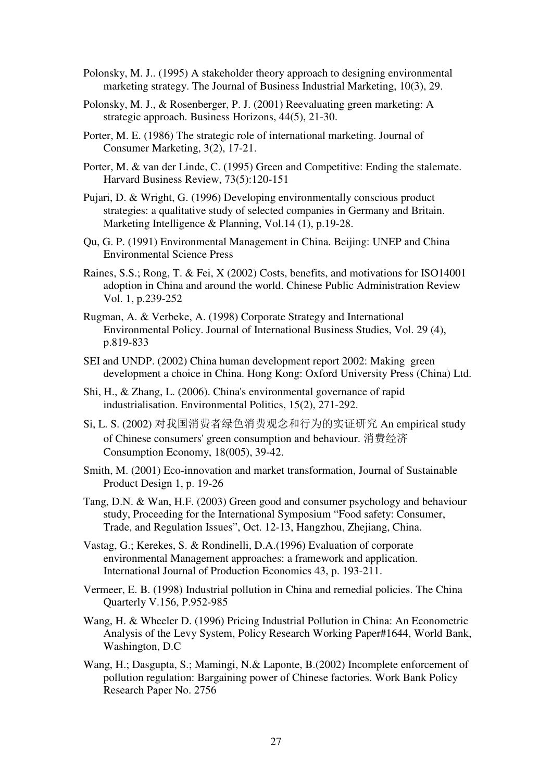- Polonsky, M. J.. (1995) A stakeholder theory approach to designing environmental marketing strategy. The Journal of Business Industrial Marketing, 10(3), 29.
- Polonsky, M. J., & Rosenberger, P. J. (2001) Reevaluating green marketing: A strategic approach. Business Horizons, 44(5), 21-30.
- Porter, M. E. (1986) The strategic role of international marketing. Journal of Consumer Marketing, 3(2), 17-21.
- Porter, M. & van der Linde, C. (1995) Green and Competitive: Ending the stalemate. Harvard Business Review, 73(5):120-151
- Pujari, D. & Wright, G. (1996) Developing environmentally conscious product strategies: a qualitative study of selected companies in Germany and Britain. Marketing Intelligence & Planning, Vol.14 (1), p.19-28.
- Qu, G. P. (1991) Environmental Management in China. Beijing: UNEP and China Environmental Science Press
- Raines, S.S.; Rong, T. & Fei, X (2002) Costs, benefits, and motivations for ISO14001 adoption in China and around the world. Chinese Public Administration Review Vol. 1, p.239-252
- Rugman, A. & Verbeke, A. (1998) Corporate Strategy and International Environmental Policy. Journal of International Business Studies, Vol. 29 (4), p.819-833
- SEI and UNDP. (2002) China human development report 2002: Making green development a choice in China. Hong Kong: Oxford University Press (China) Ltd.
- Shi, H., & Zhang, L. (2006). China's environmental governance of rapid industrialisation. Environmental Politics, 15(2), 271-292.
- Si, L. S. (2002) 对我国消费者绿色消费观念和行为的实证研究 An empirical study of Chinese consumers' green consumption and behaviour. 消费经济 Consumption Economy, 18(005), 39-42.
- Smith, M. (2001) Eco-innovation and market transformation, Journal of Sustainable Product Design 1, p. 19-26
- Tang, D.N. & Wan, H.F. (2003) Green good and consumer psychology and behaviour study, Proceeding for the International Symposium "Food safety: Consumer, Trade, and Regulation Issues", Oct. 12-13, Hangzhou, Zhejiang, China.
- Vastag, G.; Kerekes, S. & Rondinelli, D.A.(1996) Evaluation of corporate environmental Management approaches: a framework and application. International Journal of Production Economics 43, p. 193-211.
- Vermeer, E. B. (1998) Industrial pollution in China and remedial policies. The China Quarterly V.156, P.952-985
- Wang, H. & Wheeler D. (1996) Pricing Industrial Pollution in China: An Econometric Analysis of the Levy System, Policy Research Working Paper#1644, World Bank, Washington, D.C
- Wang, H.; Dasgupta, S.; Mamingi, N.& Laponte, B.(2002) Incomplete enforcement of pollution regulation: Bargaining power of Chinese factories. Work Bank Policy Research Paper No. 2756